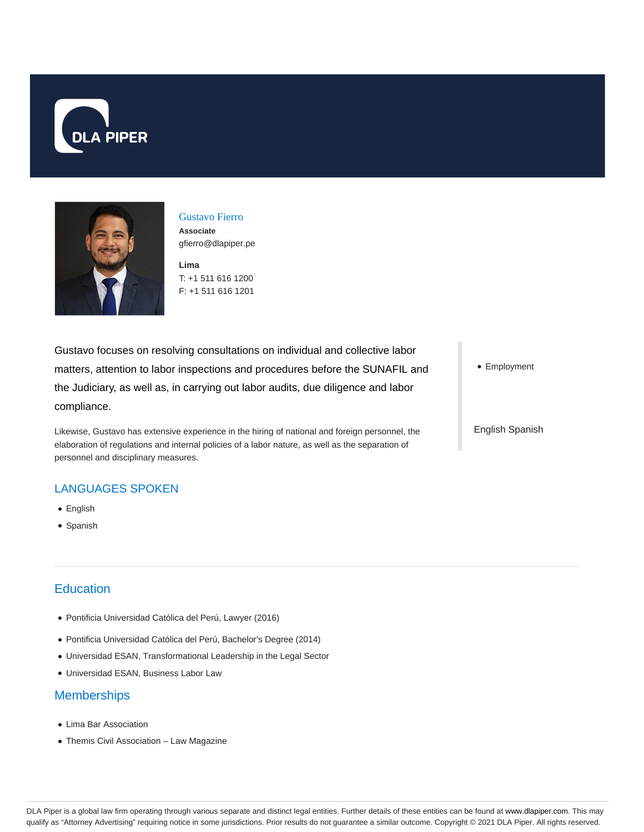



Gustavo Fierro **Associate** gfierro@dlapiper.pe

**Lima** T: +1 511 616 1200 F: +1 511 616 1201

Gustavo focuses on resolving consultations on individual and collective labor matters, attention to labor inspections and procedures before the SUNAFIL and the Judiciary, as well as, in carrying out labor audits, due diligence and labor compliance.

Likewise, Gustavo has extensive experience in the hiring of national and foreign personnel, the elaboration of regulations and internal policies of a labor nature, as well as the separation of personnel and disciplinary measures.

## LANGUAGES SPOKEN

- English
- Spanish

## **Education**

- Pontificia Universidad Católica del Perú, Lawyer (2016)
- Pontificia Universidad Católica del Perú, Bachelor's Degree (2014)
- Universidad ESAN, Transformational Leadership in the Legal Sector
- Universidad ESAN, Business Labor Law

## **Memberships**

- Lima Bar Association
- Themis Civil Association Law Magazine

• Employment

English Spanish